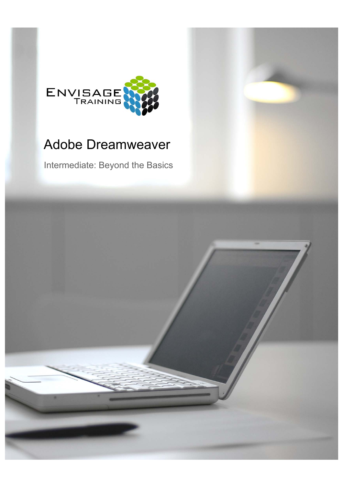

## Adobe Dreamweaver

Intermediate: Beyond the Basics

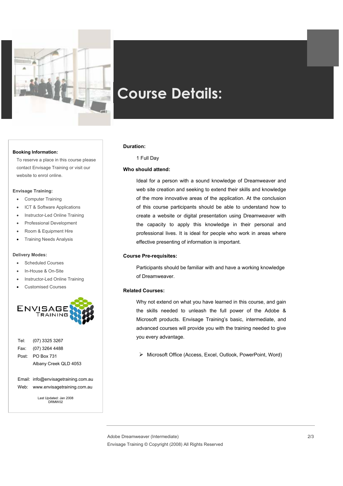

# **Course Details:**

#### **Booking Information:**

To reserve a place in this course please  $\qquad \qquad$  1 Full Day contact Envisage Training or visit our website to enrol online.

#### **Envisage Training:**

- Computer Training
- ICT & Software Applications
- Instructor-Led Online Training
- Professional Development
- Room & Equipment Hire
- Training Needs Analysis

#### **Delivery Modes:**

- Scheduled Courses
- In-House & On-Site
- Instructor-Led Online Training
- Customised Courses



 Tel: (07) 3325 3267 Fax: (07) 3264 4488 Post: PO Box 731 Albany Creek QLD 4053

 Email: info@envisagetraining.com.au Web: www.envisagetraining.com.au

Last Updated: Jan 2008 DRMW02

#### **Duration:**

#### **Who should attend:**

Ideal for a person with a sound knowledge of Dreamweaver and web site creation and seeking to extend their skills and knowledge of the more innovative areas of the application. At the conclusion of this course participants should be able to understand how to create a website or digital presentation using Dreamweaver with the capacity to apply this knowledge in their personal and professional lives. It is ideal for people who work in areas where effective presenting of information is important.

#### **Course Pre-requisites:**

Participants should be familiar with and have a working knowledge of Dreamweaver.

#### **Related Courses:**

Why not extend on what you have learned in this course, and gain the skills needed to unleash the full power of the Adobe & Microsoft products. Envisage Training's basic, intermediate, and advanced courses will provide you with the training needed to give you every advantage.

¾ Microsoft Office (Access, Excel, Outlook, PowerPoint, Word)